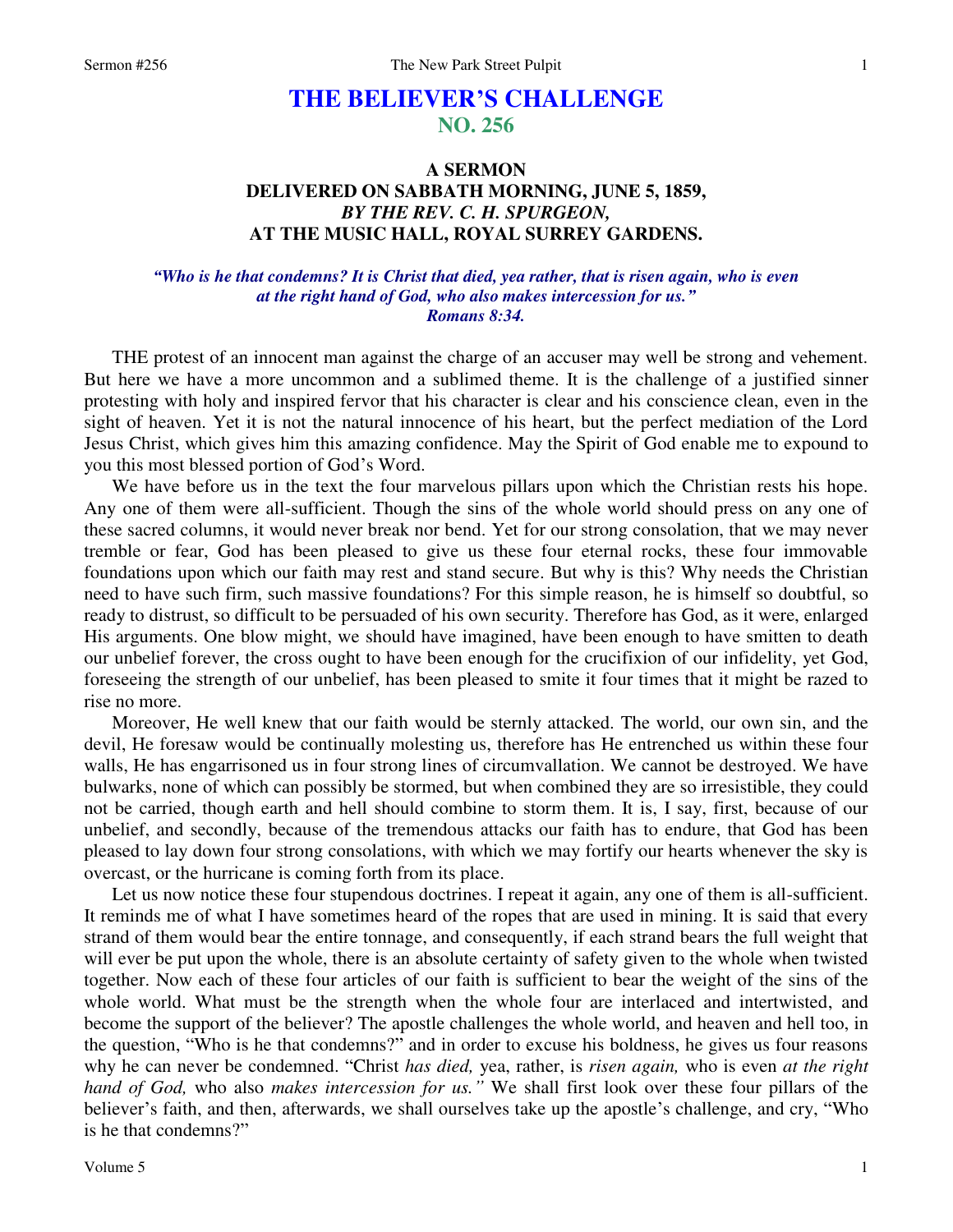# **THE BELIEVER'S CHALLENGE NO. 256**

## **A SERMON DELIVERED ON SABBATH MORNING, JUNE 5, 1859,**  *BY THE REV. C. H. SPURGEON,*  **AT THE MUSIC HALL, ROYAL SURREY GARDENS.**

## *"Who is he that condemns? It is Christ that died, yea rather, that is risen again, who is even at the right hand of God, who also makes intercession for us." Romans 8:34.*

THE protest of an innocent man against the charge of an accuser may well be strong and vehement. But here we have a more uncommon and a sublimed theme. It is the challenge of a justified sinner protesting with holy and inspired fervor that his character is clear and his conscience clean, even in the sight of heaven. Yet it is not the natural innocence of his heart, but the perfect mediation of the Lord Jesus Christ, which gives him this amazing confidence. May the Spirit of God enable me to expound to you this most blessed portion of God's Word.

We have before us in the text the four marvelous pillars upon which the Christian rests his hope. Any one of them were all-sufficient. Though the sins of the whole world should press on any one of these sacred columns, it would never break nor bend. Yet for our strong consolation, that we may never tremble or fear, God has been pleased to give us these four eternal rocks, these four immovable foundations upon which our faith may rest and stand secure. But why is this? Why needs the Christian need to have such firm, such massive foundations? For this simple reason, he is himself so doubtful, so ready to distrust, so difficult to be persuaded of his own security. Therefore has God, as it were, enlarged His arguments. One blow might, we should have imagined, have been enough to have smitten to death our unbelief forever, the cross ought to have been enough for the crucifixion of our infidelity, yet God, foreseeing the strength of our unbelief, has been pleased to smite it four times that it might be razed to rise no more.

Moreover, He well knew that our faith would be sternly attacked. The world, our own sin, and the devil, He foresaw would be continually molesting us, therefore has He entrenched us within these four walls, He has engarrisoned us in four strong lines of circumvallation. We cannot be destroyed. We have bulwarks, none of which can possibly be stormed, but when combined they are so irresistible, they could not be carried, though earth and hell should combine to storm them. It is, I say, first, because of our unbelief, and secondly, because of the tremendous attacks our faith has to endure, that God has been pleased to lay down four strong consolations, with which we may fortify our hearts whenever the sky is overcast, or the hurricane is coming forth from its place.

Let us now notice these four stupendous doctrines. I repeat it again, any one of them is all-sufficient. It reminds me of what I have sometimes heard of the ropes that are used in mining. It is said that every strand of them would bear the entire tonnage, and consequently, if each strand bears the full weight that will ever be put upon the whole, there is an absolute certainty of safety given to the whole when twisted together. Now each of these four articles of our faith is sufficient to bear the weight of the sins of the whole world. What must be the strength when the whole four are interlaced and intertwisted, and become the support of the believer? The apostle challenges the whole world, and heaven and hell too, in the question, "Who is he that condemns?" and in order to excuse his boldness, he gives us four reasons why he can never be condemned. "Christ *has died,* yea, rather, is *risen again,* who is even *at the right hand of God,* who also *makes intercession for us."* We shall first look over these four pillars of the believer's faith, and then, afterwards, we shall ourselves take up the apostle's challenge, and cry, "Who is he that condemns?"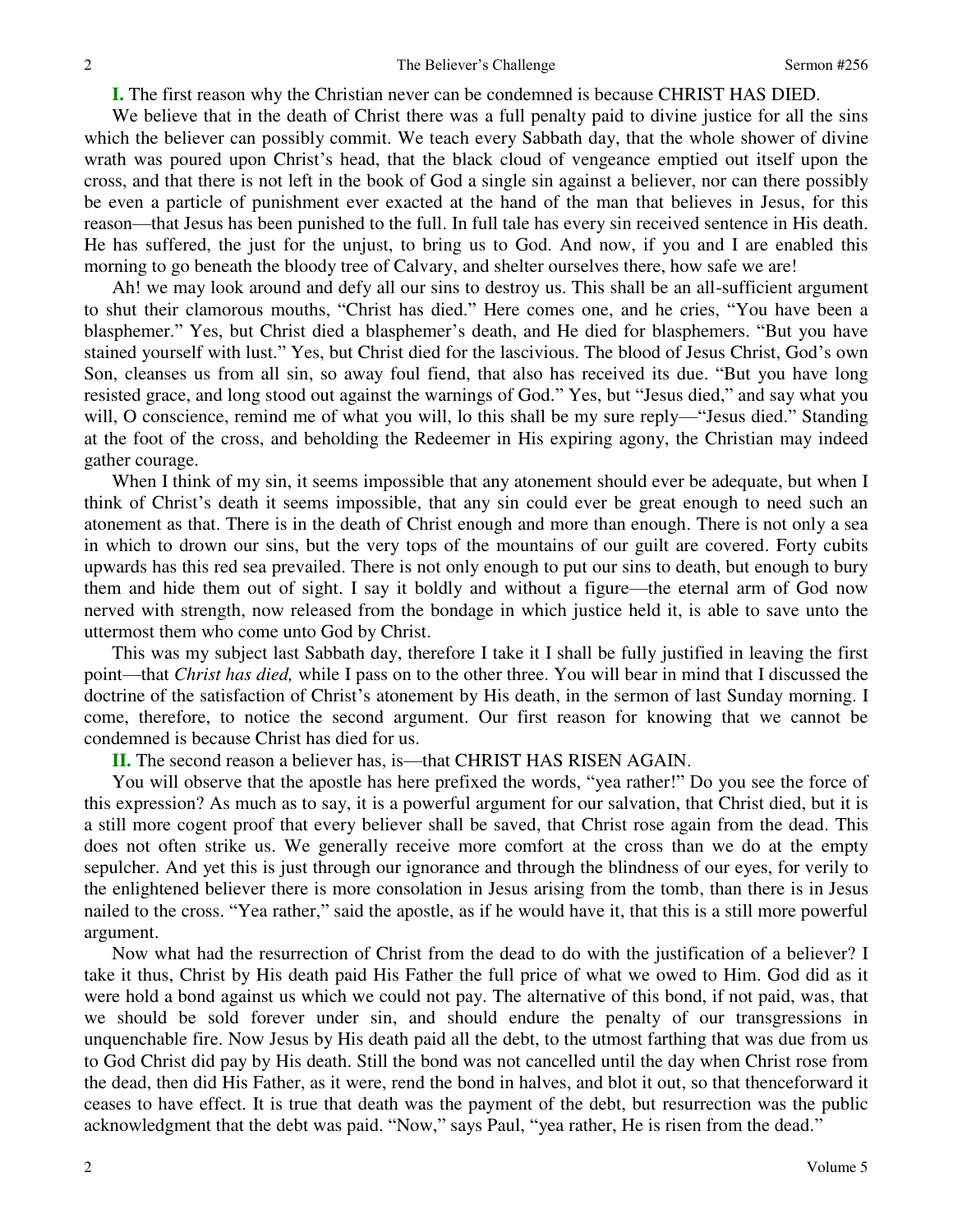**I.** The first reason why the Christian never can be condemned is because CHRIST HAS DIED.

We believe that in the death of Christ there was a full penalty paid to divine justice for all the sins which the believer can possibly commit. We teach every Sabbath day, that the whole shower of divine wrath was poured upon Christ's head, that the black cloud of vengeance emptied out itself upon the cross, and that there is not left in the book of God a single sin against a believer, nor can there possibly be even a particle of punishment ever exacted at the hand of the man that believes in Jesus, for this reason—that Jesus has been punished to the full. In full tale has every sin received sentence in His death. He has suffered, the just for the unjust, to bring us to God. And now, if you and I are enabled this morning to go beneath the bloody tree of Calvary, and shelter ourselves there, how safe we are!

Ah! we may look around and defy all our sins to destroy us. This shall be an all-sufficient argument to shut their clamorous mouths, "Christ has died." Here comes one, and he cries, "You have been a blasphemer." Yes, but Christ died a blasphemer's death, and He died for blasphemers. "But you have stained yourself with lust." Yes, but Christ died for the lascivious. The blood of Jesus Christ, God's own Son, cleanses us from all sin, so away foul fiend, that also has received its due. "But you have long resisted grace, and long stood out against the warnings of God." Yes, but "Jesus died," and say what you will, O conscience, remind me of what you will, lo this shall be my sure reply—"Jesus died." Standing at the foot of the cross, and beholding the Redeemer in His expiring agony, the Christian may indeed gather courage.

When I think of my sin, it seems impossible that any atonement should ever be adequate, but when I think of Christ's death it seems impossible, that any sin could ever be great enough to need such an atonement as that. There is in the death of Christ enough and more than enough. There is not only a sea in which to drown our sins, but the very tops of the mountains of our guilt are covered. Forty cubits upwards has this red sea prevailed. There is not only enough to put our sins to death, but enough to bury them and hide them out of sight. I say it boldly and without a figure—the eternal arm of God now nerved with strength, now released from the bondage in which justice held it, is able to save unto the uttermost them who come unto God by Christ.

This was my subject last Sabbath day, therefore I take it I shall be fully justified in leaving the first point—that *Christ has died,* while I pass on to the other three. You will bear in mind that I discussed the doctrine of the satisfaction of Christ's atonement by His death, in the sermon of last Sunday morning. I come, therefore, to notice the second argument. Our first reason for knowing that we cannot be condemned is because Christ has died for us.

**II.** The second reason a believer has, is—that CHRIST HAS RISEN AGAIN.

You will observe that the apostle has here prefixed the words, "yea rather!" Do you see the force of this expression? As much as to say, it is a powerful argument for our salvation, that Christ died, but it is a still more cogent proof that every believer shall be saved, that Christ rose again from the dead. This does not often strike us. We generally receive more comfort at the cross than we do at the empty sepulcher. And yet this is just through our ignorance and through the blindness of our eyes, for verily to the enlightened believer there is more consolation in Jesus arising from the tomb, than there is in Jesus nailed to the cross. "Yea rather," said the apostle, as if he would have it, that this is a still more powerful argument.

Now what had the resurrection of Christ from the dead to do with the justification of a believer? I take it thus, Christ by His death paid His Father the full price of what we owed to Him. God did as it were hold a bond against us which we could not pay. The alternative of this bond, if not paid, was, that we should be sold forever under sin, and should endure the penalty of our transgressions in unquenchable fire. Now Jesus by His death paid all the debt, to the utmost farthing that was due from us to God Christ did pay by His death. Still the bond was not cancelled until the day when Christ rose from the dead, then did His Father, as it were, rend the bond in halves, and blot it out, so that thenceforward it ceases to have effect. It is true that death was the payment of the debt, but resurrection was the public acknowledgment that the debt was paid. "Now," says Paul, "yea rather, He is risen from the dead."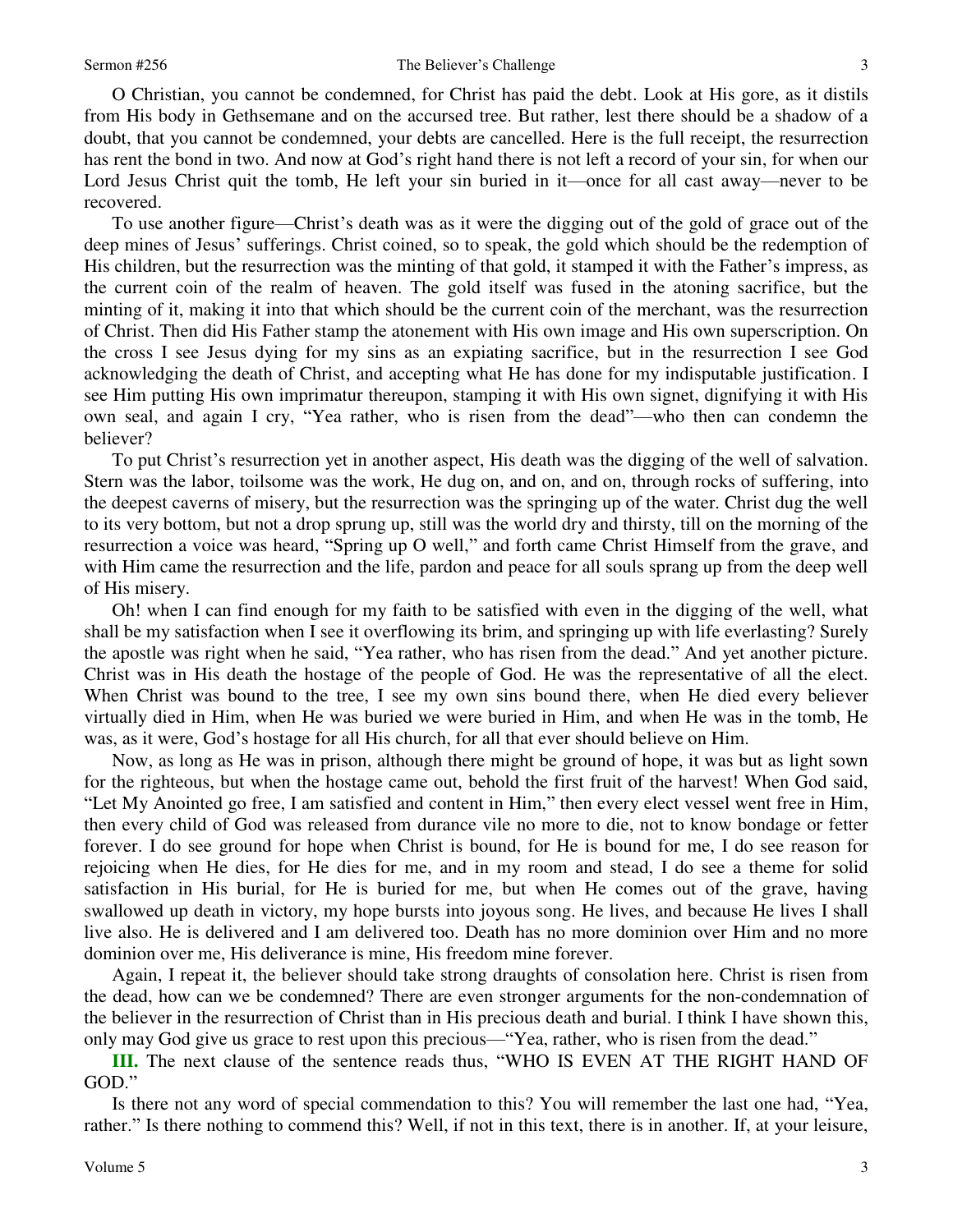O Christian, you cannot be condemned, for Christ has paid the debt. Look at His gore, as it distils from His body in Gethsemane and on the accursed tree. But rather, lest there should be a shadow of a doubt, that you cannot be condemned, your debts are cancelled. Here is the full receipt, the resurrection has rent the bond in two. And now at God's right hand there is not left a record of your sin, for when our Lord Jesus Christ quit the tomb, He left your sin buried in it—once for all cast away—never to be recovered.

To use another figure—Christ's death was as it were the digging out of the gold of grace out of the deep mines of Jesus' sufferings. Christ coined, so to speak, the gold which should be the redemption of His children, but the resurrection was the minting of that gold, it stamped it with the Father's impress, as the current coin of the realm of heaven. The gold itself was fused in the atoning sacrifice, but the minting of it, making it into that which should be the current coin of the merchant, was the resurrection of Christ. Then did His Father stamp the atonement with His own image and His own superscription. On the cross I see Jesus dying for my sins as an expiating sacrifice, but in the resurrection I see God acknowledging the death of Christ, and accepting what He has done for my indisputable justification. I see Him putting His own imprimatur thereupon, stamping it with His own signet, dignifying it with His own seal, and again I cry, "Yea rather, who is risen from the dead"—who then can condemn the believer?

To put Christ's resurrection yet in another aspect, His death was the digging of the well of salvation. Stern was the labor, toilsome was the work, He dug on, and on, and on, through rocks of suffering, into the deepest caverns of misery, but the resurrection was the springing up of the water. Christ dug the well to its very bottom, but not a drop sprung up, still was the world dry and thirsty, till on the morning of the resurrection a voice was heard, "Spring up O well," and forth came Christ Himself from the grave, and with Him came the resurrection and the life, pardon and peace for all souls sprang up from the deep well of His misery.

Oh! when I can find enough for my faith to be satisfied with even in the digging of the well, what shall be my satisfaction when I see it overflowing its brim, and springing up with life everlasting? Surely the apostle was right when he said, "Yea rather, who has risen from the dead." And yet another picture. Christ was in His death the hostage of the people of God. He was the representative of all the elect. When Christ was bound to the tree, I see my own sins bound there, when He died every believer virtually died in Him, when He was buried we were buried in Him, and when He was in the tomb, He was, as it were, God's hostage for all His church, for all that ever should believe on Him.

Now, as long as He was in prison, although there might be ground of hope, it was but as light sown for the righteous, but when the hostage came out, behold the first fruit of the harvest! When God said, "Let My Anointed go free, I am satisfied and content in Him," then every elect vessel went free in Him, then every child of God was released from durance vile no more to die, not to know bondage or fetter forever. I do see ground for hope when Christ is bound, for He is bound for me, I do see reason for rejoicing when He dies, for He dies for me, and in my room and stead, I do see a theme for solid satisfaction in His burial, for He is buried for me, but when He comes out of the grave, having swallowed up death in victory, my hope bursts into joyous song. He lives, and because He lives I shall live also. He is delivered and I am delivered too. Death has no more dominion over Him and no more dominion over me, His deliverance is mine, His freedom mine forever.

Again, I repeat it, the believer should take strong draughts of consolation here. Christ is risen from the dead, how can we be condemned? There are even stronger arguments for the non-condemnation of the believer in the resurrection of Christ than in His precious death and burial. I think I have shown this, only may God give us grace to rest upon this precious—"Yea, rather, who is risen from the dead."

**III.** The next clause of the sentence reads thus, "WHO IS EVEN AT THE RIGHT HAND OF GOD."

Is there not any word of special commendation to this? You will remember the last one had, "Yea, rather." Is there nothing to commend this? Well, if not in this text, there is in another. If, at your leisure,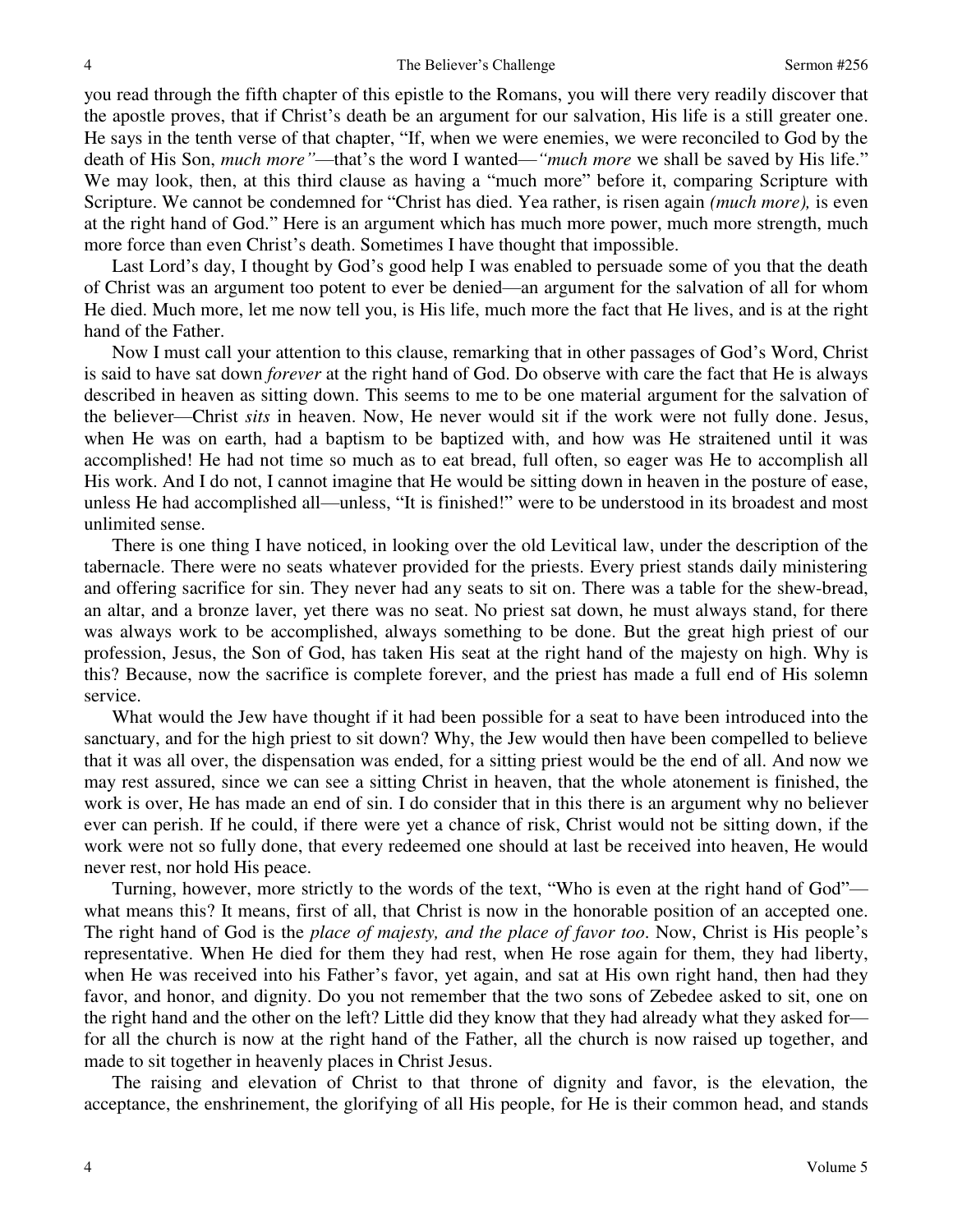you read through the fifth chapter of this epistle to the Romans, you will there very readily discover that the apostle proves, that if Christ's death be an argument for our salvation, His life is a still greater one. He says in the tenth verse of that chapter, "If, when we were enemies, we were reconciled to God by the death of His Son, *much more"*—that's the word I wanted—*"much more* we shall be saved by His life." We may look, then, at this third clause as having a "much more" before it, comparing Scripture with Scripture. We cannot be condemned for "Christ has died. Yea rather, is risen again *(much more),* is even at the right hand of God." Here is an argument which has much more power, much more strength, much more force than even Christ's death. Sometimes I have thought that impossible.

Last Lord's day, I thought by God's good help I was enabled to persuade some of you that the death of Christ was an argument too potent to ever be denied—an argument for the salvation of all for whom He died. Much more, let me now tell you, is His life, much more the fact that He lives, and is at the right hand of the Father.

Now I must call your attention to this clause, remarking that in other passages of God's Word, Christ is said to have sat down *forever* at the right hand of God. Do observe with care the fact that He is always described in heaven as sitting down. This seems to me to be one material argument for the salvation of the believer—Christ *sits* in heaven. Now, He never would sit if the work were not fully done. Jesus, when He was on earth, had a baptism to be baptized with, and how was He straitened until it was accomplished! He had not time so much as to eat bread, full often, so eager was He to accomplish all His work. And I do not, I cannot imagine that He would be sitting down in heaven in the posture of ease, unless He had accomplished all—unless, "It is finished!" were to be understood in its broadest and most unlimited sense.

There is one thing I have noticed, in looking over the old Levitical law, under the description of the tabernacle. There were no seats whatever provided for the priests. Every priest stands daily ministering and offering sacrifice for sin. They never had any seats to sit on. There was a table for the shew-bread, an altar, and a bronze laver, yet there was no seat. No priest sat down, he must always stand, for there was always work to be accomplished, always something to be done. But the great high priest of our profession, Jesus, the Son of God, has taken His seat at the right hand of the majesty on high. Why is this? Because, now the sacrifice is complete forever, and the priest has made a full end of His solemn service.

What would the Jew have thought if it had been possible for a seat to have been introduced into the sanctuary, and for the high priest to sit down? Why, the Jew would then have been compelled to believe that it was all over, the dispensation was ended, for a sitting priest would be the end of all. And now we may rest assured, since we can see a sitting Christ in heaven, that the whole atonement is finished, the work is over, He has made an end of sin. I do consider that in this there is an argument why no believer ever can perish. If he could, if there were yet a chance of risk, Christ would not be sitting down, if the work were not so fully done, that every redeemed one should at last be received into heaven, He would never rest, nor hold His peace.

Turning, however, more strictly to the words of the text, "Who is even at the right hand of God" what means this? It means, first of all, that Christ is now in the honorable position of an accepted one. The right hand of God is the *place of majesty, and the place of favor too*. Now, Christ is His people's representative. When He died for them they had rest, when He rose again for them, they had liberty, when He was received into his Father's favor, yet again, and sat at His own right hand, then had they favor, and honor, and dignity. Do you not remember that the two sons of Zebedee asked to sit, one on the right hand and the other on the left? Little did they know that they had already what they asked for for all the church is now at the right hand of the Father, all the church is now raised up together, and made to sit together in heavenly places in Christ Jesus.

The raising and elevation of Christ to that throne of dignity and favor, is the elevation, the acceptance, the enshrinement, the glorifying of all His people, for He is their common head, and stands

4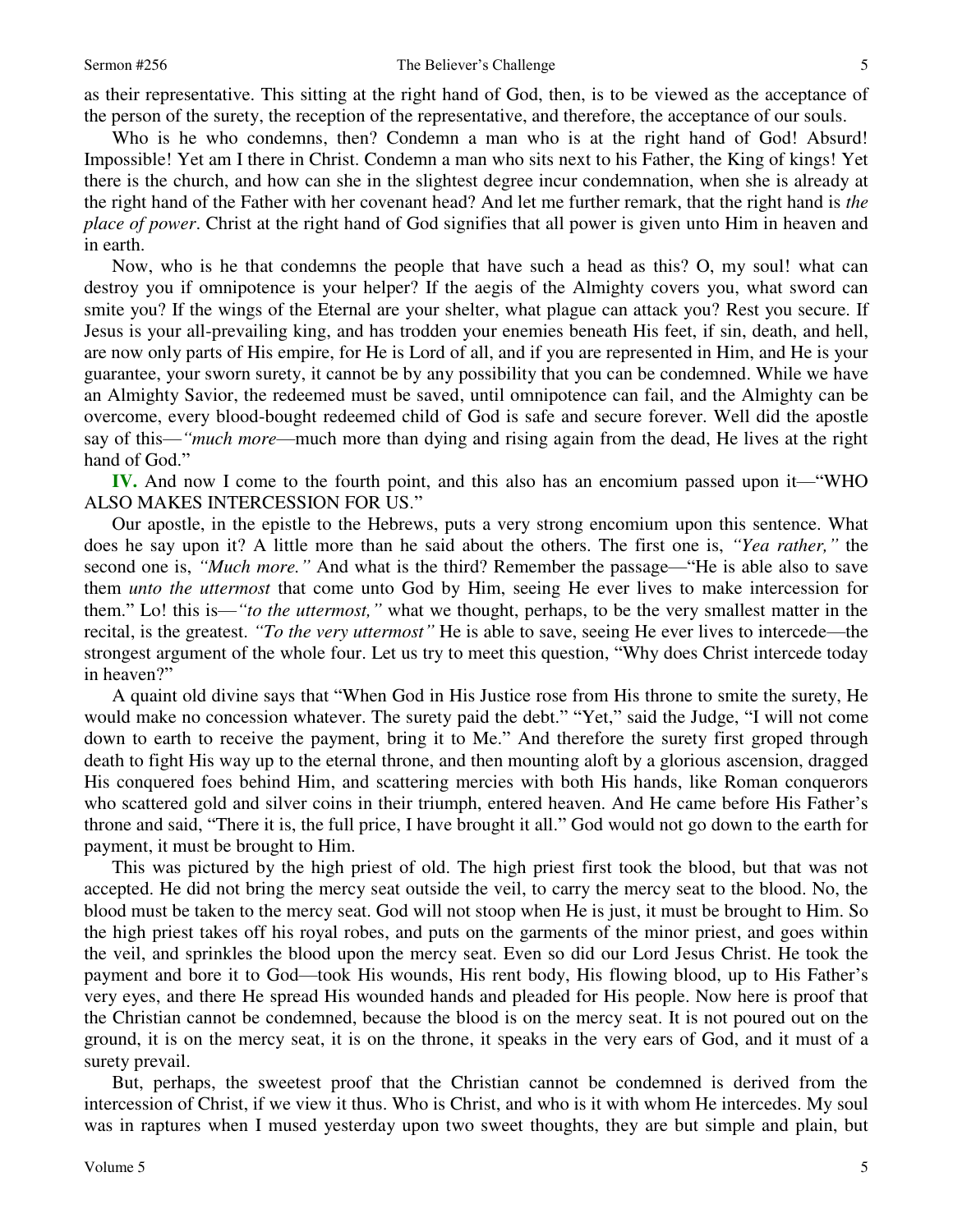### Sermon #256 The Believer's Challenge

as their representative. This sitting at the right hand of God, then, is to be viewed as the acceptance of the person of the surety, the reception of the representative, and therefore, the acceptance of our souls.

Who is he who condemns, then? Condemn a man who is at the right hand of God! Absurd! Impossible! Yet am I there in Christ. Condemn a man who sits next to his Father, the King of kings! Yet there is the church, and how can she in the slightest degree incur condemnation, when she is already at the right hand of the Father with her covenant head? And let me further remark, that the right hand is *the place of power*. Christ at the right hand of God signifies that all power is given unto Him in heaven and in earth.

Now, who is he that condemns the people that have such a head as this? O, my soul! what can destroy you if omnipotence is your helper? If the aegis of the Almighty covers you, what sword can smite you? If the wings of the Eternal are your shelter, what plague can attack you? Rest you secure. If Jesus is your all-prevailing king, and has trodden your enemies beneath His feet, if sin, death, and hell, are now only parts of His empire, for He is Lord of all, and if you are represented in Him, and He is your guarantee, your sworn surety, it cannot be by any possibility that you can be condemned. While we have an Almighty Savior, the redeemed must be saved, until omnipotence can fail, and the Almighty can be overcome, every blood-bought redeemed child of God is safe and secure forever. Well did the apostle say of this—*"much more*—much more than dying and rising again from the dead, He lives at the right hand of God."

**IV.** And now I come to the fourth point, and this also has an encomium passed upon it—"WHO ALSO MAKES INTERCESSION FOR US."

Our apostle, in the epistle to the Hebrews, puts a very strong encomium upon this sentence. What does he say upon it? A little more than he said about the others. The first one is, *"Yea rather,"* the second one is, *"Much more."* And what is the third? Remember the passage—"He is able also to save them *unto the uttermost* that come unto God by Him, seeing He ever lives to make intercession for them." Lo! this is—*"to the uttermost,"* what we thought, perhaps, to be the very smallest matter in the recital, is the greatest. *"To the very uttermost"* He is able to save, seeing He ever lives to intercede—the strongest argument of the whole four. Let us try to meet this question, "Why does Christ intercede today in heaven?"

A quaint old divine says that "When God in His Justice rose from His throne to smite the surety, He would make no concession whatever. The surety paid the debt." "Yet," said the Judge, "I will not come down to earth to receive the payment, bring it to Me." And therefore the surety first groped through death to fight His way up to the eternal throne, and then mounting aloft by a glorious ascension, dragged His conquered foes behind Him, and scattering mercies with both His hands, like Roman conquerors who scattered gold and silver coins in their triumph, entered heaven. And He came before His Father's throne and said, "There it is, the full price, I have brought it all." God would not go down to the earth for payment, it must be brought to Him.

This was pictured by the high priest of old. The high priest first took the blood, but that was not accepted. He did not bring the mercy seat outside the veil, to carry the mercy seat to the blood. No, the blood must be taken to the mercy seat. God will not stoop when He is just, it must be brought to Him. So the high priest takes off his royal robes, and puts on the garments of the minor priest, and goes within the veil, and sprinkles the blood upon the mercy seat. Even so did our Lord Jesus Christ. He took the payment and bore it to God—took His wounds, His rent body, His flowing blood, up to His Father's very eyes, and there He spread His wounded hands and pleaded for His people. Now here is proof that the Christian cannot be condemned, because the blood is on the mercy seat. It is not poured out on the ground, it is on the mercy seat, it is on the throne, it speaks in the very ears of God, and it must of a surety prevail.

But, perhaps, the sweetest proof that the Christian cannot be condemned is derived from the intercession of Christ, if we view it thus. Who is Christ, and who is it with whom He intercedes. My soul was in raptures when I mused yesterday upon two sweet thoughts, they are but simple and plain, but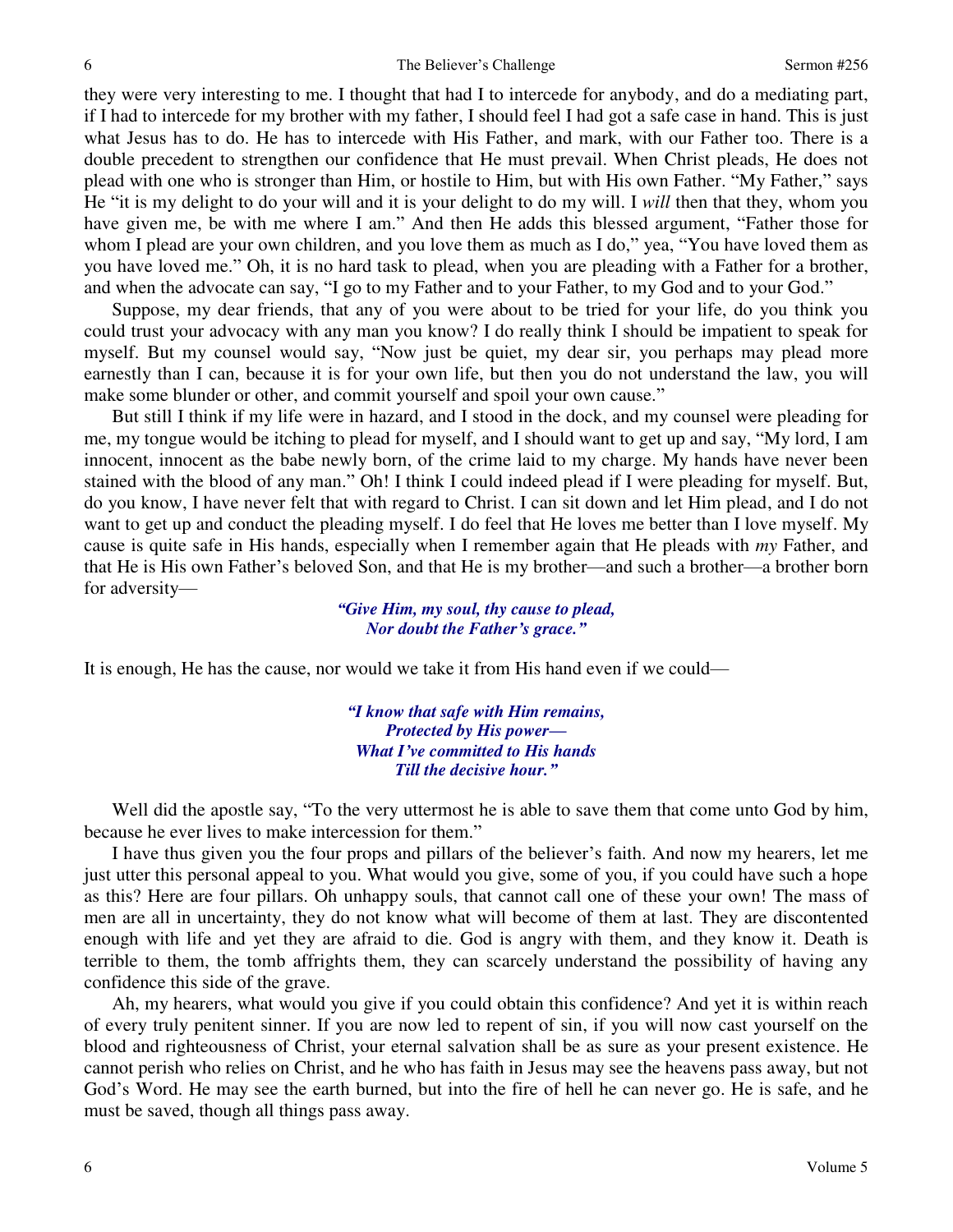they were very interesting to me. I thought that had I to intercede for anybody, and do a mediating part, if I had to intercede for my brother with my father, I should feel I had got a safe case in hand. This is just what Jesus has to do. He has to intercede with His Father, and mark, with our Father too. There is a double precedent to strengthen our confidence that He must prevail. When Christ pleads, He does not plead with one who is stronger than Him, or hostile to Him, but with His own Father. "My Father," says He "it is my delight to do your will and it is your delight to do my will. I *will* then that they, whom you have given me, be with me where I am." And then He adds this blessed argument, "Father those for whom I plead are your own children, and you love them as much as I do," yea, "You have loved them as you have loved me." Oh, it is no hard task to plead, when you are pleading with a Father for a brother, and when the advocate can say, "I go to my Father and to your Father, to my God and to your God."

Suppose, my dear friends, that any of you were about to be tried for your life, do you think you could trust your advocacy with any man you know? I do really think I should be impatient to speak for myself. But my counsel would say, "Now just be quiet, my dear sir, you perhaps may plead more earnestly than I can, because it is for your own life, but then you do not understand the law, you will make some blunder or other, and commit yourself and spoil your own cause."

But still I think if my life were in hazard, and I stood in the dock, and my counsel were pleading for me, my tongue would be itching to plead for myself, and I should want to get up and say, "My lord, I am innocent, innocent as the babe newly born, of the crime laid to my charge. My hands have never been stained with the blood of any man." Oh! I think I could indeed plead if I were pleading for myself. But, do you know, I have never felt that with regard to Christ. I can sit down and let Him plead, and I do not want to get up and conduct the pleading myself. I do feel that He loves me better than I love myself. My cause is quite safe in His hands, especially when I remember again that He pleads with *my* Father, and that He is His own Father's beloved Son, and that He is my brother—and such a brother—a brother born for adversity—

> *"Give Him, my soul, thy cause to plead, Nor doubt the Father's grace."*

It is enough, He has the cause, nor would we take it from His hand even if we could—

*"I know that safe with Him remains, Protected by His power— What I've committed to His hands Till the decisive hour."*

Well did the apostle say, "To the very uttermost he is able to save them that come unto God by him, because he ever lives to make intercession for them."

I have thus given you the four props and pillars of the believer's faith. And now my hearers, let me just utter this personal appeal to you. What would you give, some of you, if you could have such a hope as this? Here are four pillars. Oh unhappy souls, that cannot call one of these your own! The mass of men are all in uncertainty, they do not know what will become of them at last. They are discontented enough with life and yet they are afraid to die. God is angry with them, and they know it. Death is terrible to them, the tomb affrights them, they can scarcely understand the possibility of having any confidence this side of the grave.

Ah, my hearers, what would you give if you could obtain this confidence? And yet it is within reach of every truly penitent sinner. If you are now led to repent of sin, if you will now cast yourself on the blood and righteousness of Christ, your eternal salvation shall be as sure as your present existence. He cannot perish who relies on Christ, and he who has faith in Jesus may see the heavens pass away, but not God's Word. He may see the earth burned, but into the fire of hell he can never go. He is safe, and he must be saved, though all things pass away.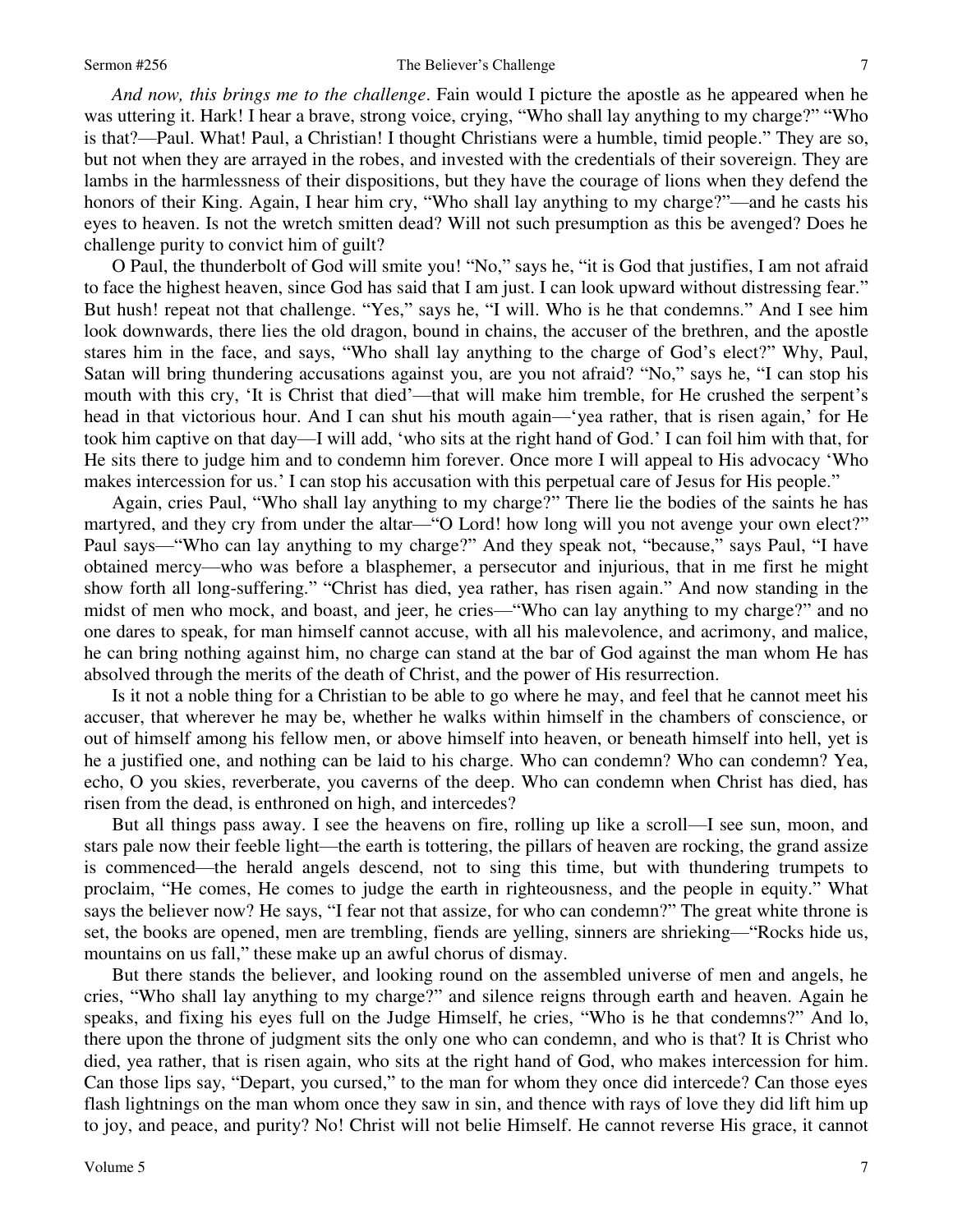### Sermon #256 The Believer's Challenge

*And now, this brings me to the challenge*. Fain would I picture the apostle as he appeared when he was uttering it. Hark! I hear a brave, strong voice, crying, "Who shall lay anything to my charge?" "Who is that?—Paul. What! Paul, a Christian! I thought Christians were a humble, timid people." They are so, but not when they are arrayed in the robes, and invested with the credentials of their sovereign. They are lambs in the harmlessness of their dispositions, but they have the courage of lions when they defend the honors of their King. Again, I hear him cry, "Who shall lay anything to my charge?"—and he casts his eyes to heaven. Is not the wretch smitten dead? Will not such presumption as this be avenged? Does he challenge purity to convict him of guilt?

O Paul, the thunderbolt of God will smite you! "No," says he, "it is God that justifies, I am not afraid to face the highest heaven, since God has said that I am just. I can look upward without distressing fear." But hush! repeat not that challenge. "Yes," says he, "I will. Who is he that condemns." And I see him look downwards, there lies the old dragon, bound in chains, the accuser of the brethren, and the apostle stares him in the face, and says, "Who shall lay anything to the charge of God's elect?" Why, Paul, Satan will bring thundering accusations against you, are you not afraid? "No," says he, "I can stop his mouth with this cry, 'It is Christ that died'—that will make him tremble, for He crushed the serpent's head in that victorious hour. And I can shut his mouth again—'yea rather, that is risen again,' for He took him captive on that day—I will add, 'who sits at the right hand of God.' I can foil him with that, for He sits there to judge him and to condemn him forever. Once more I will appeal to His advocacy 'Who makes intercession for us.' I can stop his accusation with this perpetual care of Jesus for His people."

Again, cries Paul, "Who shall lay anything to my charge?" There lie the bodies of the saints he has martyred, and they cry from under the altar—"O Lord! how long will you not avenge your own elect?" Paul says—"Who can lay anything to my charge?" And they speak not, "because," says Paul, "I have obtained mercy—who was before a blasphemer, a persecutor and injurious, that in me first he might show forth all long-suffering." "Christ has died, yea rather, has risen again." And now standing in the midst of men who mock, and boast, and jeer, he cries—"Who can lay anything to my charge?" and no one dares to speak, for man himself cannot accuse, with all his malevolence, and acrimony, and malice, he can bring nothing against him, no charge can stand at the bar of God against the man whom He has absolved through the merits of the death of Christ, and the power of His resurrection.

Is it not a noble thing for a Christian to be able to go where he may, and feel that he cannot meet his accuser, that wherever he may be, whether he walks within himself in the chambers of conscience, or out of himself among his fellow men, or above himself into heaven, or beneath himself into hell, yet is he a justified one, and nothing can be laid to his charge. Who can condemn? Who can condemn? Yea, echo, O you skies, reverberate, you caverns of the deep. Who can condemn when Christ has died, has risen from the dead, is enthroned on high, and intercedes?

But all things pass away. I see the heavens on fire, rolling up like a scroll—I see sun, moon, and stars pale now their feeble light—the earth is tottering, the pillars of heaven are rocking, the grand assize is commenced—the herald angels descend, not to sing this time, but with thundering trumpets to proclaim, "He comes, He comes to judge the earth in righteousness, and the people in equity." What says the believer now? He says, "I fear not that assize, for who can condemn?" The great white throne is set, the books are opened, men are trembling, fiends are yelling, sinners are shrieking—"Rocks hide us, mountains on us fall," these make up an awful chorus of dismay.

But there stands the believer, and looking round on the assembled universe of men and angels, he cries, "Who shall lay anything to my charge?" and silence reigns through earth and heaven. Again he speaks, and fixing his eyes full on the Judge Himself, he cries, "Who is he that condemns?" And lo, there upon the throne of judgment sits the only one who can condemn, and who is that? It is Christ who died, yea rather, that is risen again, who sits at the right hand of God, who makes intercession for him. Can those lips say, "Depart, you cursed," to the man for whom they once did intercede? Can those eyes flash lightnings on the man whom once they saw in sin, and thence with rays of love they did lift him up to joy, and peace, and purity? No! Christ will not belie Himself. He cannot reverse His grace, it cannot